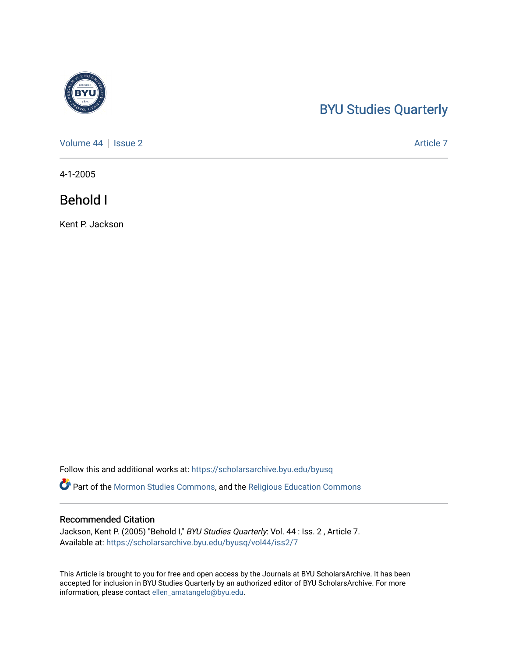# [BYU Studies Quarterly](https://scholarsarchive.byu.edu/byusq)

[Volume 44](https://scholarsarchive.byu.edu/byusq/vol44) | [Issue 2](https://scholarsarchive.byu.edu/byusq/vol44/iss2) Article 7

4-1-2005

# Behold I

Kent P. Jackson

Follow this and additional works at: [https://scholarsarchive.byu.edu/byusq](https://scholarsarchive.byu.edu/byusq?utm_source=scholarsarchive.byu.edu%2Fbyusq%2Fvol44%2Fiss2%2F7&utm_medium=PDF&utm_campaign=PDFCoverPages) 

Part of the [Mormon Studies Commons](http://network.bepress.com/hgg/discipline/1360?utm_source=scholarsarchive.byu.edu%2Fbyusq%2Fvol44%2Fiss2%2F7&utm_medium=PDF&utm_campaign=PDFCoverPages), and the [Religious Education Commons](http://network.bepress.com/hgg/discipline/1414?utm_source=scholarsarchive.byu.edu%2Fbyusq%2Fvol44%2Fiss2%2F7&utm_medium=PDF&utm_campaign=PDFCoverPages) 

# Recommended Citation

Jackson, Kent P. (2005) "Behold I," BYU Studies Quarterly: Vol. 44 : Iss. 2, Article 7. Available at: [https://scholarsarchive.byu.edu/byusq/vol44/iss2/7](https://scholarsarchive.byu.edu/byusq/vol44/iss2/7?utm_source=scholarsarchive.byu.edu%2Fbyusq%2Fvol44%2Fiss2%2F7&utm_medium=PDF&utm_campaign=PDFCoverPages)

This Article is brought to you for free and open access by the Journals at BYU ScholarsArchive. It has been accepted for inclusion in BYU Studies Quarterly by an authorized editor of BYU ScholarsArchive. For more information, please contact [ellen\\_amatangelo@byu.edu.](mailto:ellen_amatangelo@byu.edu)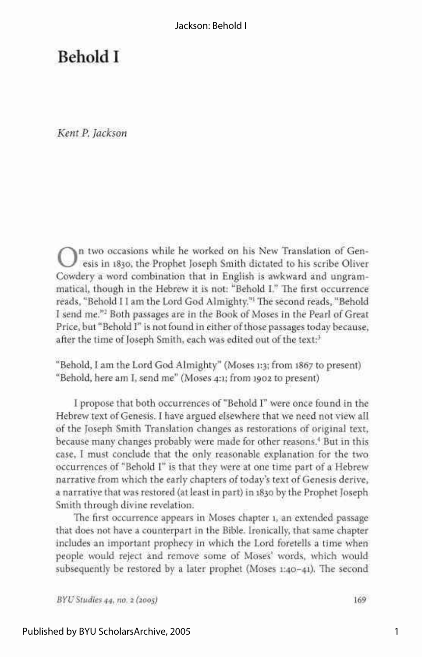# Behold I

*Kent P. Jackson* 

On two occasions while he worked on his New Translation of Genesis in 1830, the Prophet Joseph Smith dictated to his scribe Oliver Cowdery a word combination that in English is awkward and ungramn two occasions while he worked on his New Translation of Genesis in 1830, the Prophet Joseph Smith dictated to his scribe Oliver matical, though in the Hebrew it is not: "Behold I." The first occurrence reads, "Behold I I am the Lord God Almighty."<sup>1</sup> The second reads, "Behold I send me."<sup>2</sup> Both passages are in the Book of Moses in the Pearl of Great Price, but "Behold I" is not found in either of those passages today because, after the time of Joseph Smith, each was edited out of the text:<sup>3</sup>

"Behold, I am the Lord God Almighty" (Moses 1:3; from 1867 to present) "Behold, here am I, send me" (Moses 4:1; from 1902 to present)

I propose that both occurrences of "Behold I" were once found in the Hebrew text of Genesis. I have argued elsewhere that we need not view all of the Joseph Smith Translation changes as restorations of original text, because many changes probably were made for other reasons.<sup>4</sup> But in this case, I must conclude that the only reasonable explanation for the two occurrences of "Behold I" is that they were at one time part of a Hebrew narrative from which the early chapters of today's text of Genesis derive, a narrative that was restored (at least in part) in 1830 by the Prophet Joseph Smith through divine revelation.

The first occurrence appears in Moses chapter 1, an extended passage that does not have a counterpart in the Bible. Ironically, that same chapter includes an important prophecy in which the Lord foretells a time when people would reject and remove some of Moses' words, which would subsequently be restored by a later prophet (Moses 1:40-41). The second

*BYU Studies 44, no. 2 (200s)* 169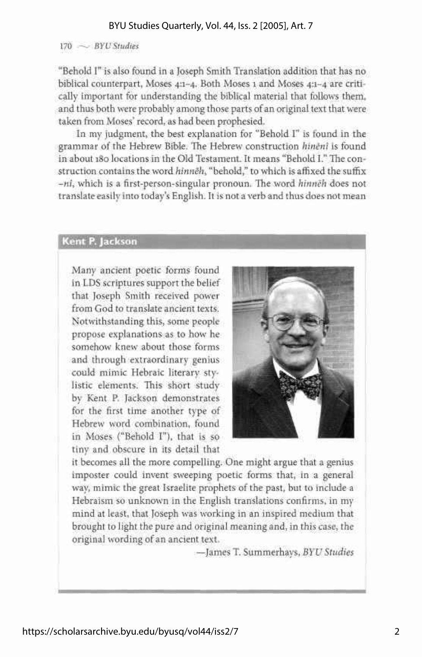# 170 — *BYU Studies*

"Behold I" is also found in a Joseph Smith Translation addition that has no biblical counterpart, Moses 4:1-4. Both Moses 1 and Moses 4:1-4 are critically important for understanding the biblical material that follows them, and thus both were probably among those parts of an original text that were taken from Moses' record, as had been prophesied.

In my judgment, the best explanation for "Behold I" is found in the grammar of the Hebrew Bible. The Hebrew construction *hineni* is found in about 180 locations in the Old Testament. It means "Behold I." The construction contains the word *hinneh,* "behold," to which is affixed the suffix *-ni,* which is a first-person-singular pronoun. The word *hinneh* does **not**  translate easily into today's English. It is not a verb and thus does not mean

# **Kent P. Jackson**

Many ancient poetic forms found in LDS scriptures support the belief **that Joseph Smith received** power from God to translate ancient texts. Notwithstanding this, some people propose explanations as to how he somehow knew about those forms and through extraordinary genius could mimic Hebraic literary stylistic elements. This short **study**  by Kent P. Jackson demonstrates for the first time another type of Hebrew word combination, found in Moses ("Behold I"), that is so tiny and obscure in its detail that



it becomes all the more compelling. One might argue that a genius imposter could invent sweeping poetic forms that, in a general way, mimic the great Israelite prophets of the past, but to include a Hebraism so unknown in the English translations confirms, in my mind at least, that Joseph was working in an inspired medium that brought to light the pure and original meaning and, in this case, **the**  original wording of an ancient text.

—James T. Summerhays, *BYU Studies*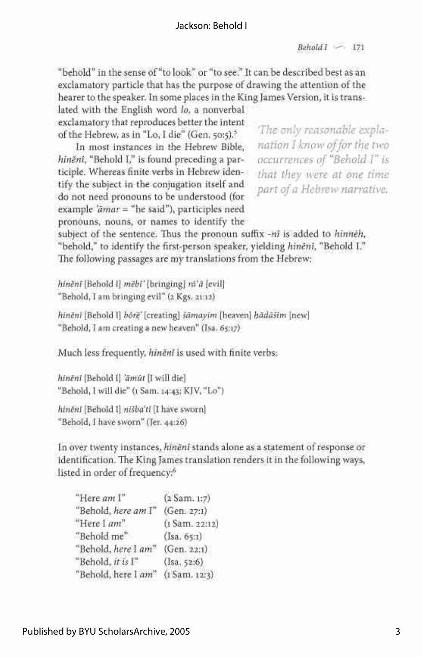### Jackson: Behold I

*Behold I* '-- 171

"behold" in the sense of "to look" or "to see." It can be described best as an exclamatory particle that has the purpose of drawing the attention of the hearer to the speaker. In some places in the King James Version, it is trans-

lated with the English word *lo,* a nonverbal exclamatory that reproduces better the intent

In most instances in the Hebrew Bible, *nation I know of for the two hiněni*, "Behold I," is found preceding a participle. Whereas finite verbs in Hebrew iden-*that they were at one time* tify the subject in the conjugation itself and *part of a Hebrew narrative.* do not need pronouns to be understood (for example *'amar =* "he said"), participles need pronouns, nouns, or names to identify the

of the Hebrew, as in "Lo, I die" (Gen. 50:5).<sup>5</sup> l ne only reasonable expla-<br>In most instances in the Hebrew Bible. Fig. *nation I know of for the two*  $\cdot$  *reasonavie expla* 

subject of the sentence. Thus the pronoun suffix *-ni* is added to *hinneh,*  "behold," to identify the first-person speaker, yielding *hineni,* "Behold I." The following passages are my translations from the Hebrew:

*hineni* [Behold I] mëbi' [bringing] ra'a [evil] "Behold, I am bringing evil" (2 Kgs. 21:12)

*hineni* [Behold I] *bore* [creating] *samayim* [heaven] *hadasim* [new] "Behold, I am creating a new heaven" (Isa. 65:17)

Much less frequently, *hineni* is used with finite verbs:

*hineni* [Behold I] *'dmut* [I will die] "Behold, I will die" (1 Sam. 14:43; KJV, "Lo")

*hineni* [Behold I] *nisba'ti* [I have sworn] "Behold, I have sworn" (Jer. 44:26)

In over twenty instances, *hineni* stands alone as a statement of response or identification. The King James translation renders it in the following ways, listed in order of frequency:<sup>6</sup>

"Here *am* I" (2 Sam. 1:7) "Behold, *here am* I" (Gen. 27:1) "Here I  $am$ " (1 Sam. 22:12) "Behold me" (Isa. 65:1) "Behold, *here* I *am"* (Gen. 22:1) "Behold, *it is* I" (Isa. 52:6) "Behold, here I am" (1 Sam. 12:3)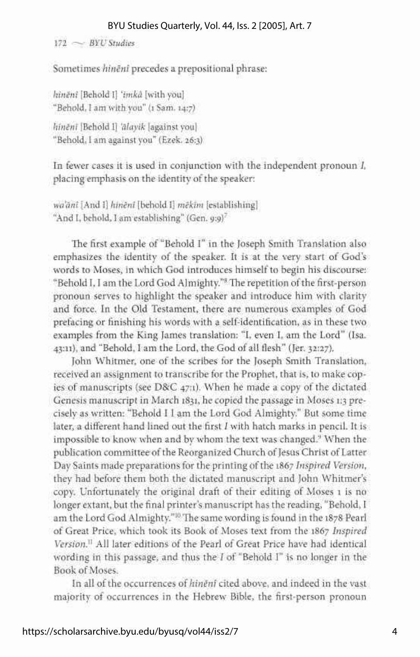### BYU Studies Quarterly, Vol. 44, Iss. 2 [2005], Art. 7

172 ~ *BYU Studies* 

Sometimes *hineni* precedes a prepositional phrase:

*hineni* [Behold I] *'imka* [with you] "Behold, I am with you" (1 Sam. 14:7)

*hineni* [Behold I] *'alayik* [against you] "Behold, I am against you" (Ezek. 26:3)

In fewer cases it is used in conjunction with the independent pronoun *I,*  placing emphasis on the identity of the speaker:

*wa'ani* [And I] *hineni* [behold I] *mekim* [establishing] "And I, behold, I am establishing" (Gen. *g-.g)<sup>7</sup>*

The first example of "Behold I" in the Joseph Smith Translation also emphasizes the identity of the speaker. It is at the very start of God's words to Moses, in which God introduces himself to begin his discourse: "Behold I, I am the Lord God Almighty."<sup>8</sup> The repetition of the first-person pronoun serves to highlight the speaker and introduce him with clarity and force. In the Old Testament, there are numerous examples of God prefacing or finishing his words with a self-identification, as in these two examples from the King James translation: "I, even I, am the Lord" (Isa. 43:11), and "Behold, I am the Lord, the God of all flesh" (Jer. 32:27).

John Whitmer, one of the scribes for the Joseph Smith Translation, received an assignment to transcribe for the Prophet, that is, to make copies of manuscripts (see D&C 47:1). When he made a copy of the dictated Genesis manuscript in March 1831, he copied the passage in Moses 1:3 precisely as written: "Behold I I am the Lord God Almighty." But some time later, a different hand lined out the first *I* with hatch marks in pencil. It is impossible to know when and by whom the text was changed.<sup>9</sup> When the publication committee of the Reorganized Church of Jesus Christ of Latter Day Saints made preparations for the printing of the 1867 *Inspired Version,*  they had before them both the dictated manuscript and John Whitmer's copy. Unfortunately the original draft of their editing of Moses 1 is no longer extant, but the final printer's manuscript has the reading, "Behold, I am the Lord God Almighty."<sup>10</sup> The same wording is found in the 1878 Pearl of Great Price, which took its Book of Moses text from the 1867 *Inspired Version.<sup>11</sup>* All later editions of the Pearl of Great Price have had identical wording in this passage, and thus the / of "Behold I" is no longer in the Book of Moses.

In all of the occurrences *of hineni* cited above, and indeed in the vast majority of occurrences in the Hebrew Bible, the first-person pronoun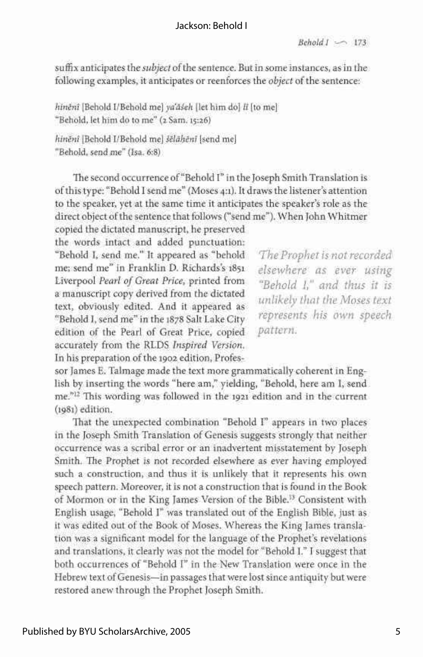# Jackson: Behold I

suffix anticipates the *subject* of the sentence. But in some instances, as in the following examples, it anticipates or reenforces the *object* of the sentence:

*hineni* [Behold I/Behold me] *yaaseh* [let him do] *It* [to me] "Behold, let him do to me" (2 Sam. 15:26)

*hineni* [Behold I/Behold me] *seldheni* [send me] "Behold, send me" (Isa. 6:8)

The second occurrence of "Behold I" in the Joseph Smith Translation is of this type: "Behold I send me" (Moses 4:1). It draws the listener's attention to the speaker, yet at the same time it anticipates the speaker's role as the direct object of the sentence that follows ("send me"). When John Whitmer

copied the dictated manuscript, he preserved the words intact and added punctuation: "Behold I, send me." It appeared as "behold *The Prophet is not recorded*  me; send me" in Franklin D. Richards's 1851 *elsewhere as ever using*  Liverpool Pearl of Great Price, printed from *"Behold 1," and thus it is* a manuscript copy derived from the dictated unlikely that the Moses text text, obviously edited. And it appeared as "Behold I, send me" in the 1878 Salt Lake City edition of the Pearl of Great Price, copied *pattern*. accurately from the RLDS Inspired Version. In his preparation of the 1902 edition, Profes-

represents his own speech

sor James E. Talmage made the text more grammatically coherent in English by inserting the words "here am," yielding, "Behold, here am I, sendme."<sup>12</sup> This wording was followed in the 1921 edition and in the current (1981) edition. This was followed in the 1921 edition and in the current current current current current current current current current current current current current current current current current current current curre

That the unexpected combination "Behold I" appears in two places in the Joseph Smith Translation of Genesis suggests strongly that neither occurrence was a scribal error or an inadvertent misstatement by Joseph Smith. The Prophet is not recorded elsewhere as ever having employed such a construction, and thus it is unlikely that it represents his own speech pattern. Moreover, it is not a construction that is found in the Book of Mormon or in the King James Version of the Bible.<sup>13</sup> Consistent with English usage, "Behold I" was translated out of the English Bible, just as it was edited out of the Book of Moses. Whereas the King James translation was a significant model for the language of the Prophet's revelations and translations, it clearly was not the model for "Behold I." I suggest that both occurrences of "Behold I" in the New Translation were once in the Hebrew text of Genesis-in passages that were lost since antiquity but were restored anew through the Prophet Joseph Smith.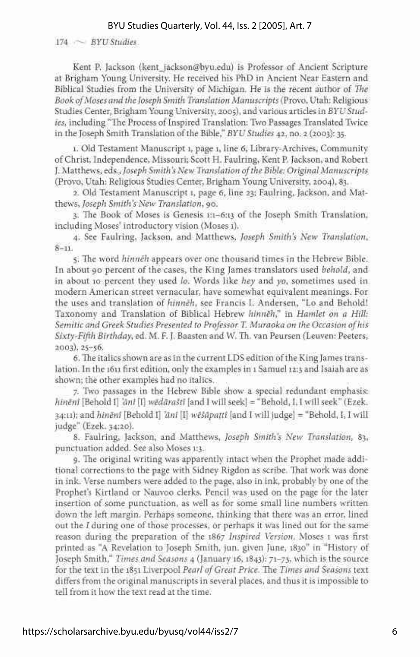### BYU Studies Quarterly, Vol. 44, Iss. 2 [2005], Art. 7

174 - *BYU Studies* 

Kent P. Jackson ([kent\\_jackson@byu.edu\)](mailto:kent_jackson@byu.edu) is Professor of Ancient Scripture at Brigham Young University. He received his PhD in Ancient Near Eastern and Biblical Studies from the University of Michigan. He is the recent author of *The Book of Moses and the Joseph Smith Translation Manuscripts* (Provo, Utah: Religious Studies Center, Brigham Young University, 2005), and various articles in *BYU Studies,* including "The Process of Inspired Translation: Two Passages Translated Twice in the Joseph Smith Translation of the Bible," *BYU Studies* 42, no. 2 (2003): 35.

1. Old Testament Manuscript 1, page 1, line 6, Library-Archives, Community of Christ, Independence, Missouri; Scott H. Faulring, Kent P. Jackson, and Robert J. Matthews, eds., *Joseph Smith's New Translation of the Bible: Original Manuscripts*  (Provo, Utah: Religious Studies Center, Brigham Young University, 2004), 83.

2. Old Testament Manuscript 1, page 6, line 23; Faulring, Jackson, and Matthews, *Joseph Smith's New Translation,* 90.

3. The Book of Moses is Genesis 1:1-6:13 of the Joseph Smith Translation, including Moses' introductory vision (Moses 1).

4. See Faulring, Jackson, and Matthews, *Joseph Smith's New Translation,*  8-11.

5. The word *hinneh* appears over one thousand times in the Hebrew Bible. In about 90 percent of the cases, the King James translators used *behold,* and in about 10 percent they used *lo.* Words like *hey* and *yo,* sometimes used in modern American street vernacular, have somewhat equivalent meanings. For the uses and translation of *hinneh,* see Francis I. Andersen, "Lo and Behold! Taxonomy and Translation of Biblical Hebrew *hinneh','* in *Hamlet on a Hill: Semitic and Greek Studies Presented to Professor T Muraoka on the Occasion of his Sixty-Fifth Birthday,* ed. M. F. J. Baasten and W. Th. van Peursen (Leuven: Peeters, 2003), 25-56.

6. The italics shown are as in the current LDS edition of the King James translation. In the 1611 first edition, only the examples in 1 Samuel 12:3 and Isaiah are as shown; the other examples had no italics.

7. Two passages in the Hebrew Bible show a special redundant emphasis: *hineni* [Behold I] *'ani* [I] *wedarasti* [and I will seek] = "Behold, I, I will seek" (Ezek. 34:11); and *hineni* [Behold I] *'ani* [I] *wesapatti* [and I will judge] *-* "Behold, I, I will judge" (Ezek. 34:20).

8. Faulring, Jackson, and Matthews, *Joseph Smith's New Translation,* 83, punctuation added. See also Moses 1:3.

9. The original writing was apparently intact when the Prophet made additional corrections to the page with Sidney Rigdon as scribe. That work was done in ink. Verse numbers were added to the page, also in ink, probably by one of the Prophet's Kirtland or Nauvoo clerks. Pencil was used on the page for the later insertion of some punctuation, as well as for some small line numbers written down the left margin. Perhaps someone, thinking that there was an error, lined out the *I* during one of those processes, or perhaps it was lined out for the same reason during the preparation of the 1867 *Inspired Version.* Moses 1 was first printed as "A Revelation to Joseph Smith, jun. given June, 1830" in "History of Joseph Smith," *Times and Seasons* 4 (January 16,1843): 71-73, which is the source for the text in the 1851 Liverpool *Pearl of Great Price.* The *Times and Seasons* text differs from the original manuscripts in several places, and thus it is impossible to tell from it how the text read at the time.